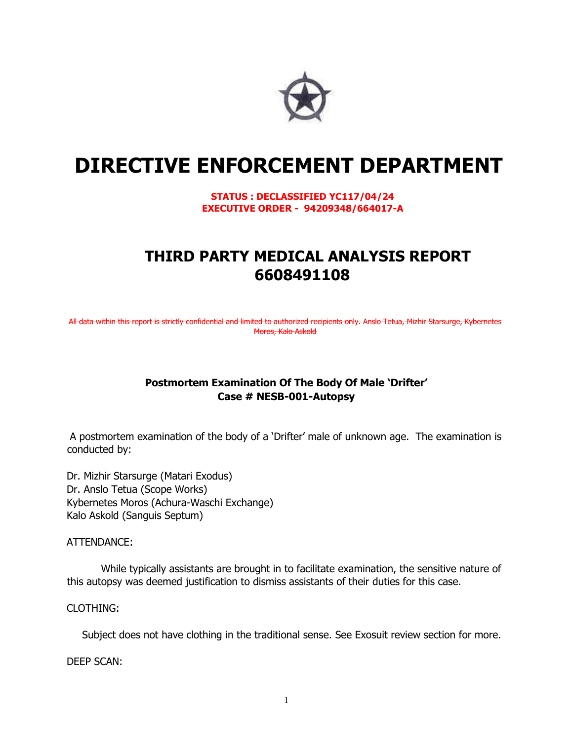

# **DIRECTIVE ENFORCEMENT DEPARTMENT**

**STATUS : DECLASSIFIED YC117/04/24 EXECUTIVE ORDER - 94209348/664017-A** 

# **THIRD PARTY MEDICAL ANALYSIS REPORT 6608491108**

All data within this report is strictly confidential and limited to authorized recipients only. Anslo Tetua, Mizhir Starsurge, Kybernetes Moros, Kalo Askold

### **Postmortem Examination Of The Body Of Male 'Drifter' Case # NESB-001-Autopsy**

A postmortem examination of the body of a 'Drifter' male of unknown age. The examination is conducted by:

Dr. Mizhir Starsurge (Matari Exodus) Dr. Anslo Tetua (Scope Works) Kybernetes Moros (Achura-Waschi Exchange) Kalo Askold (Sanguis Septum)

ATTENDANCE:

While typically assistants are brought in to facilitate examination, the sensitive nature of this autopsy was deemed justification to dismiss assistants of their duties for this case.

CLOTHING:

Subject does not have clothing in the traditional sense. See Exosuit review section for more.

DEEP SCAN: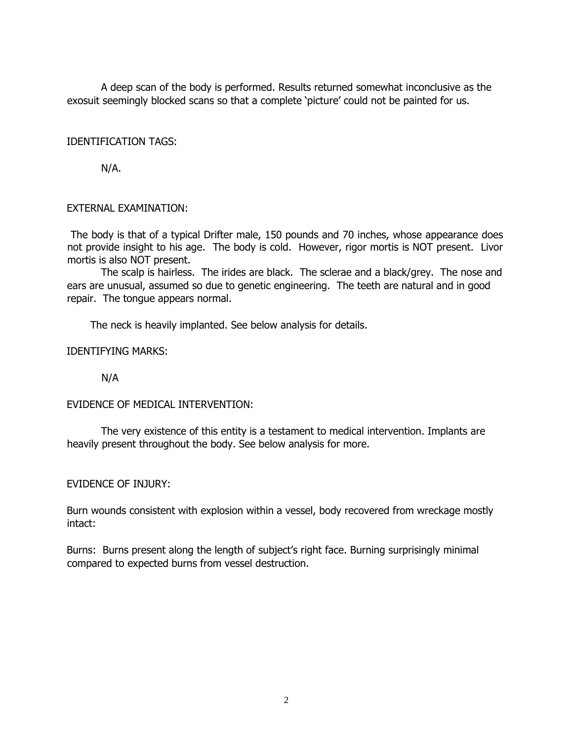A deep scan of the body is performed. Results returned somewhat inconclusive as the exosuit seemingly blocked scans so that a complete 'picture' could not be painted for us.

#### IDENTIFICATION TAGS:

N/A.

### EXTERNAL EXAMINATION:

The body is that of a typical Drifter male, 150 pounds and 70 inches, whose appearance does not provide insight to his age. The body is cold. However, rigor mortis is NOT present. Livor mortis is also NOT present.

The scalp is hairless. The irides are black. The sclerae and a black/grey. The nose and ears are unusual, assumed so due to genetic engineering. The teeth are natural and in good repair. The tongue appears normal.

The neck is heavily implanted. See below analysis for details.

#### IDENTIFYING MARKS:

N/A

# EVIDENCE OF MEDICAL INTERVENTION:

The very existence of this entity is a testament to medical intervention. Implants are heavily present throughout the body. See below analysis for more.

#### EVIDENCE OF INJURY:

Burn wounds consistent with explosion within a vessel, body recovered from wreckage mostly intact:

Burns: Burns present along the length of subject's right face. Burning surprisingly minimal compared to expected burns from vessel destruction.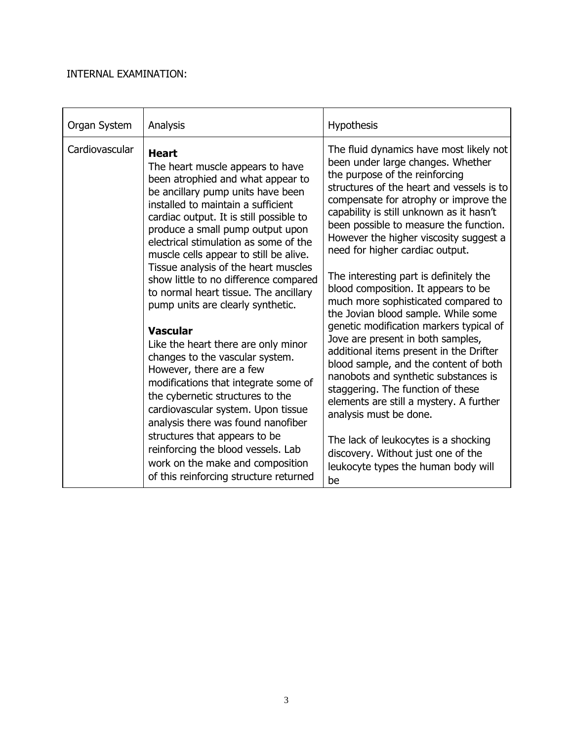# INTERNAL EXAMINATION:

| Organ System   | Analysis                                                                                                                                                                                                                                                                                                                                                                                                                                                                                                                                                                                                                                                                                                                                                                                                                                                                                                                                | <b>Hypothesis</b>                                                                                                                                                                                                                                                                                                                                                                                                                                                                                                                                                                                                                                                                                                                                                                                                                                                                                                                                                                       |
|----------------|-----------------------------------------------------------------------------------------------------------------------------------------------------------------------------------------------------------------------------------------------------------------------------------------------------------------------------------------------------------------------------------------------------------------------------------------------------------------------------------------------------------------------------------------------------------------------------------------------------------------------------------------------------------------------------------------------------------------------------------------------------------------------------------------------------------------------------------------------------------------------------------------------------------------------------------------|-----------------------------------------------------------------------------------------------------------------------------------------------------------------------------------------------------------------------------------------------------------------------------------------------------------------------------------------------------------------------------------------------------------------------------------------------------------------------------------------------------------------------------------------------------------------------------------------------------------------------------------------------------------------------------------------------------------------------------------------------------------------------------------------------------------------------------------------------------------------------------------------------------------------------------------------------------------------------------------------|
| Cardiovascular | <b>Heart</b><br>The heart muscle appears to have<br>been atrophied and what appear to<br>be ancillary pump units have been<br>installed to maintain a sufficient<br>cardiac output. It is still possible to<br>produce a small pump output upon<br>electrical stimulation as some of the<br>muscle cells appear to still be alive.<br>Tissue analysis of the heart muscles<br>show little to no difference compared<br>to normal heart tissue. The ancillary<br>pump units are clearly synthetic.<br><b>Vascular</b><br>Like the heart there are only minor<br>changes to the vascular system.<br>However, there are a few<br>modifications that integrate some of<br>the cybernetic structures to the<br>cardiovascular system. Upon tissue<br>analysis there was found nanofiber<br>structures that appears to be<br>reinforcing the blood vessels. Lab<br>work on the make and composition<br>of this reinforcing structure returned | The fluid dynamics have most likely not<br>been under large changes. Whether<br>the purpose of the reinforcing<br>structures of the heart and vessels is to<br>compensate for atrophy or improve the<br>capability is still unknown as it hasn't<br>been possible to measure the function.<br>However the higher viscosity suggest a<br>need for higher cardiac output.<br>The interesting part is definitely the<br>blood composition. It appears to be<br>much more sophisticated compared to<br>the Jovian blood sample. While some<br>genetic modification markers typical of<br>Jove are present in both samples,<br>additional items present in the Drifter<br>blood sample, and the content of both<br>nanobots and synthetic substances is<br>staggering. The function of these<br>elements are still a mystery. A further<br>analysis must be done.<br>The lack of leukocytes is a shocking<br>discovery. Without just one of the<br>leukocyte types the human body will<br>be |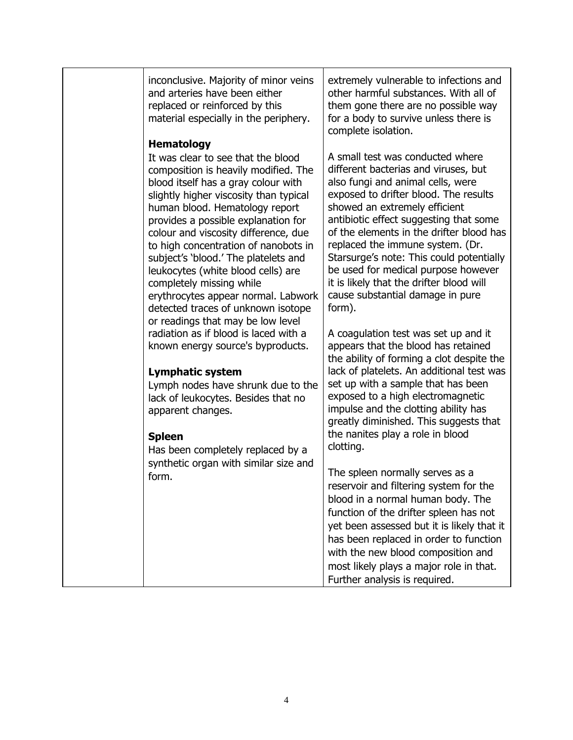| inconclusive. Majority of minor veins<br>and arteries have been either<br>replaced or reinforced by this<br>material especially in the periphery.                                                                                                                                                                                                                                                                                                                                                                                                                                                              | extremely vulnerable to infections and<br>other harmful substances. With all of<br>them gone there are no possible way<br>for a body to survive unless there is<br>complete isolation.                                                                                                                                                                                                                                                                                                                                                 |
|----------------------------------------------------------------------------------------------------------------------------------------------------------------------------------------------------------------------------------------------------------------------------------------------------------------------------------------------------------------------------------------------------------------------------------------------------------------------------------------------------------------------------------------------------------------------------------------------------------------|----------------------------------------------------------------------------------------------------------------------------------------------------------------------------------------------------------------------------------------------------------------------------------------------------------------------------------------------------------------------------------------------------------------------------------------------------------------------------------------------------------------------------------------|
| <b>Hematology</b><br>It was clear to see that the blood<br>composition is heavily modified. The<br>blood itself has a gray colour with<br>slightly higher viscosity than typical<br>human blood. Hematology report<br>provides a possible explanation for<br>colour and viscosity difference, due<br>to high concentration of nanobots in<br>subject's 'blood.' The platelets and<br>leukocytes (white blood cells) are<br>completely missing while<br>erythrocytes appear normal. Labwork<br>detected traces of unknown isotope<br>or readings that may be low level<br>radiation as if blood is laced with a | A small test was conducted where<br>different bacterias and viruses, but<br>also fungi and animal cells, were<br>exposed to drifter blood. The results<br>showed an extremely efficient<br>antibiotic effect suggesting that some<br>of the elements in the drifter blood has<br>replaced the immune system. (Dr.<br>Starsurge's note: This could potentially<br>be used for medical purpose however<br>it is likely that the drifter blood will<br>cause substantial damage in pure<br>form).<br>A coagulation test was set up and it |
| known energy source's byproducts.<br><b>Lymphatic system</b><br>Lymph nodes have shrunk due to the<br>lack of leukocytes. Besides that no<br>apparent changes.<br><b>Spleen</b><br>Has been completely replaced by a                                                                                                                                                                                                                                                                                                                                                                                           | appears that the blood has retained<br>the ability of forming a clot despite the<br>lack of platelets. An additional test was<br>set up with a sample that has been<br>exposed to a high electromagnetic<br>impulse and the clotting ability has<br>greatly diminished. This suggests that<br>the nanites play a role in blood<br>clotting.                                                                                                                                                                                            |
| synthetic organ with similar size and<br>form.                                                                                                                                                                                                                                                                                                                                                                                                                                                                                                                                                                 | The spleen normally serves as a<br>reservoir and filtering system for the<br>blood in a normal human body. The<br>function of the drifter spleen has not<br>yet been assessed but it is likely that it<br>has been replaced in order to function<br>with the new blood composition and<br>most likely plays a major role in that.<br>Further analysis is required.                                                                                                                                                                     |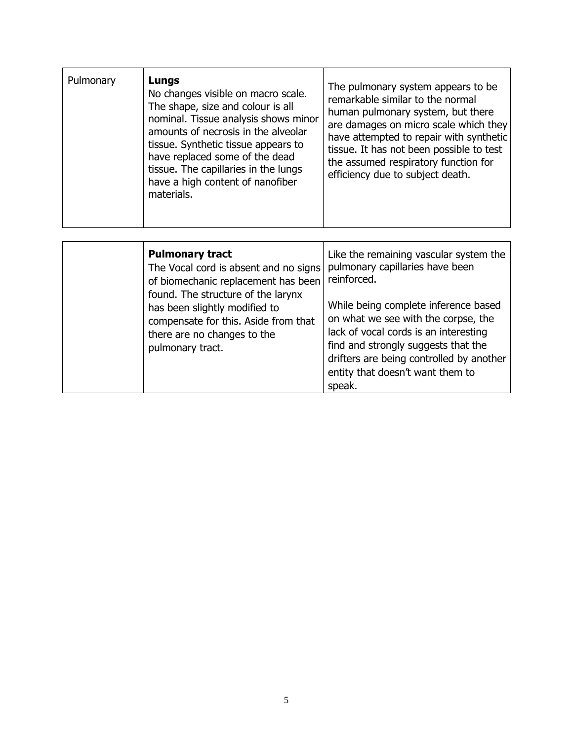| Pulmonary<br>Lungs<br>No changes visible on macro scale.<br>The shape, size and colour is all<br>nominal. Tissue analysis shows minor<br>amounts of necrosis in the alveolar<br>tissue. Synthetic tissue appears to<br>have replaced some of the dead<br>tissue. The capillaries in the lungs<br>have a high content of nanofiber<br>materials. | The pulmonary system appears to be.<br>remarkable similar to the normal<br>human pulmonary system, but there<br>are damages on micro scale which they<br>have attempted to repair with synthetic<br>tissue. It has not been possible to test<br>the assumed respiratory function for<br>efficiency due to subject death. |
|-------------------------------------------------------------------------------------------------------------------------------------------------------------------------------------------------------------------------------------------------------------------------------------------------------------------------------------------------|--------------------------------------------------------------------------------------------------------------------------------------------------------------------------------------------------------------------------------------------------------------------------------------------------------------------------|
|-------------------------------------------------------------------------------------------------------------------------------------------------------------------------------------------------------------------------------------------------------------------------------------------------------------------------------------------------|--------------------------------------------------------------------------------------------------------------------------------------------------------------------------------------------------------------------------------------------------------------------------------------------------------------------------|

| <b>Pulmonary tract</b><br>The Vocal cord is absent and no signs<br>of biomechanic replacement has been<br>found. The structure of the larynx<br>has been slightly modified to<br>compensate for this. Aside from that<br>there are no changes to the<br>pulmonary tract. | Like the remaining vascular system the<br>pulmonary capillaries have been<br>reinforced.<br>While being complete inference based<br>on what we see with the corpse, the<br>lack of vocal cords is an interesting |                                                                                                                               |
|--------------------------------------------------------------------------------------------------------------------------------------------------------------------------------------------------------------------------------------------------------------------------|------------------------------------------------------------------------------------------------------------------------------------------------------------------------------------------------------------------|-------------------------------------------------------------------------------------------------------------------------------|
|                                                                                                                                                                                                                                                                          |                                                                                                                                                                                                                  | find and strongly suggests that the<br>drifters are being controlled by another<br>entity that doesn't want them to<br>speak. |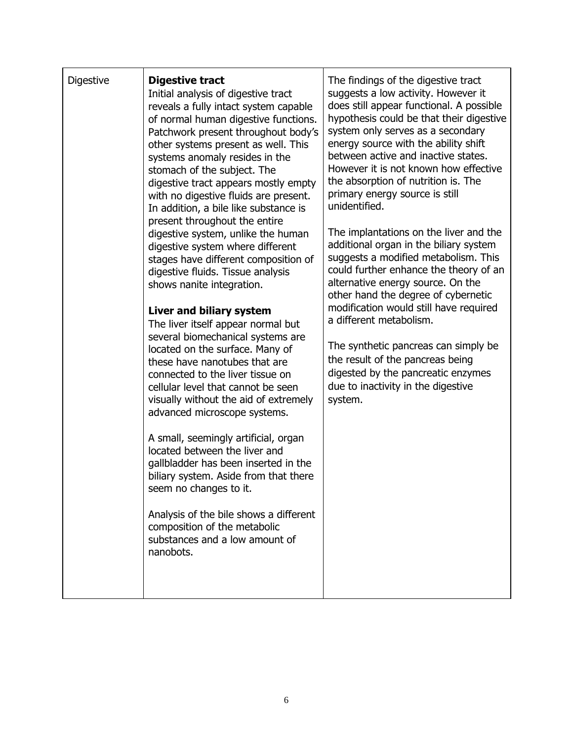| <b>Digestive</b> | <b>Digestive tract</b><br>Initial analysis of digestive tract<br>reveals a fully intact system capable<br>of normal human digestive functions.<br>Patchwork present throughout body's<br>other systems present as well. This<br>systems anomaly resides in the<br>stomach of the subject. The<br>digestive tract appears mostly empty<br>with no digestive fluids are present.<br>In addition, a bile like substance is<br>present throughout the entire<br>digestive system, unlike the human<br>digestive system where different<br>stages have different composition of<br>digestive fluids. Tissue analysis<br>shows nanite integration.<br>Liver and biliary system<br>The liver itself appear normal but<br>several biomechanical systems are<br>located on the surface. Many of<br>these have nanotubes that are<br>connected to the liver tissue on<br>cellular level that cannot be seen<br>visually without the aid of extremely<br>advanced microscope systems.<br>A small, seemingly artificial, organ<br>located between the liver and<br>gallbladder has been inserted in the<br>biliary system. Aside from that there<br>seem no changes to it.<br>Analysis of the bile shows a different<br>composition of the metabolic<br>substances and a low amount of<br>nanobots. | The findings of the digestive tract<br>suggests a low activity. However it<br>does still appear functional. A possible<br>hypothesis could be that their digestive<br>system only serves as a secondary<br>energy source with the ability shift<br>between active and inactive states.<br>However it is not known how effective<br>the absorption of nutrition is. The<br>primary energy source is still<br>unidentified.<br>The implantations on the liver and the<br>additional organ in the biliary system<br>suggests a modified metabolism. This<br>could further enhance the theory of an<br>alternative energy source. On the<br>other hand the degree of cybernetic<br>modification would still have required<br>a different metabolism.<br>The synthetic pancreas can simply be<br>the result of the pancreas being<br>digested by the pancreatic enzymes<br>due to inactivity in the digestive<br>system. |
|------------------|-----------------------------------------------------------------------------------------------------------------------------------------------------------------------------------------------------------------------------------------------------------------------------------------------------------------------------------------------------------------------------------------------------------------------------------------------------------------------------------------------------------------------------------------------------------------------------------------------------------------------------------------------------------------------------------------------------------------------------------------------------------------------------------------------------------------------------------------------------------------------------------------------------------------------------------------------------------------------------------------------------------------------------------------------------------------------------------------------------------------------------------------------------------------------------------------------------------------------------------------------------------------------------------------|---------------------------------------------------------------------------------------------------------------------------------------------------------------------------------------------------------------------------------------------------------------------------------------------------------------------------------------------------------------------------------------------------------------------------------------------------------------------------------------------------------------------------------------------------------------------------------------------------------------------------------------------------------------------------------------------------------------------------------------------------------------------------------------------------------------------------------------------------------------------------------------------------------------------|
|------------------|-----------------------------------------------------------------------------------------------------------------------------------------------------------------------------------------------------------------------------------------------------------------------------------------------------------------------------------------------------------------------------------------------------------------------------------------------------------------------------------------------------------------------------------------------------------------------------------------------------------------------------------------------------------------------------------------------------------------------------------------------------------------------------------------------------------------------------------------------------------------------------------------------------------------------------------------------------------------------------------------------------------------------------------------------------------------------------------------------------------------------------------------------------------------------------------------------------------------------------------------------------------------------------------------|---------------------------------------------------------------------------------------------------------------------------------------------------------------------------------------------------------------------------------------------------------------------------------------------------------------------------------------------------------------------------------------------------------------------------------------------------------------------------------------------------------------------------------------------------------------------------------------------------------------------------------------------------------------------------------------------------------------------------------------------------------------------------------------------------------------------------------------------------------------------------------------------------------------------|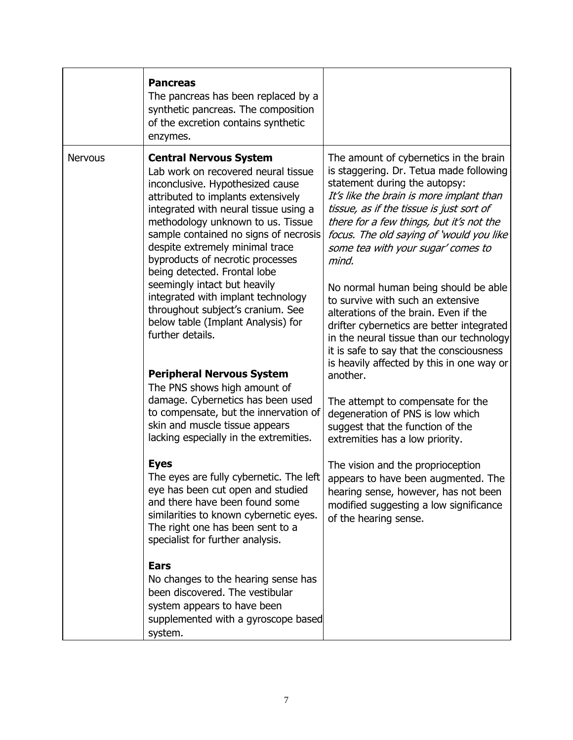|                | <b>Pancreas</b><br>The pancreas has been replaced by a<br>synthetic pancreas. The composition<br>of the excretion contains synthetic<br>enzymes.                                                                                                                                                                                                                                                                                                                                                                                                                                                                                                                                                                                                                                                                                                                                                                                                                                               |                                                                                                                                                                                                                                                                                                                                                                                                                                                                                                                                                                                                                                                                                                                                                                                                                                                                                                                                                                                                              |
|----------------|------------------------------------------------------------------------------------------------------------------------------------------------------------------------------------------------------------------------------------------------------------------------------------------------------------------------------------------------------------------------------------------------------------------------------------------------------------------------------------------------------------------------------------------------------------------------------------------------------------------------------------------------------------------------------------------------------------------------------------------------------------------------------------------------------------------------------------------------------------------------------------------------------------------------------------------------------------------------------------------------|--------------------------------------------------------------------------------------------------------------------------------------------------------------------------------------------------------------------------------------------------------------------------------------------------------------------------------------------------------------------------------------------------------------------------------------------------------------------------------------------------------------------------------------------------------------------------------------------------------------------------------------------------------------------------------------------------------------------------------------------------------------------------------------------------------------------------------------------------------------------------------------------------------------------------------------------------------------------------------------------------------------|
| <b>Nervous</b> | <b>Central Nervous System</b><br>Lab work on recovered neural tissue<br>inconclusive. Hypothesized cause<br>attributed to implants extensively<br>integrated with neural tissue using a<br>methodology unknown to us. Tissue<br>sample contained no signs of necrosis<br>despite extremely minimal trace<br>byproducts of necrotic processes<br>being detected. Frontal lobe<br>seemingly intact but heavily<br>integrated with implant technology<br>throughout subject's cranium. See<br>below table (Implant Analysis) for<br>further details.<br><b>Peripheral Nervous System</b><br>The PNS shows high amount of<br>damage. Cybernetics has been used<br>to compensate, but the innervation of<br>skin and muscle tissue appears<br>lacking especially in the extremities.<br><b>Eyes</b><br>The eyes are fully cybernetic. The left<br>eye has been cut open and studied<br>and there have been found some<br>similarities to known cybernetic eyes.<br>The right one has been sent to a | The amount of cybernetics in the brain<br>is staggering. Dr. Tetua made following<br>statement during the autopsy:<br>It's like the brain is more implant than<br>tissue, as if the tissue is just sort of<br>there for a few things, but it's not the<br>focus. The old saying of 'would you like<br>some tea with your sugar' comes to<br>mind.<br>No normal human being should be able<br>to survive with such an extensive<br>alterations of the brain. Even if the<br>drifter cybernetics are better integrated<br>in the neural tissue than our technology<br>it is safe to say that the consciousness<br>is heavily affected by this in one way or<br>another.<br>The attempt to compensate for the<br>degeneration of PNS is low which<br>suggest that the function of the<br>extremities has a low priority.<br>The vision and the proprioception<br>appears to have been augmented. The<br>hearing sense, however, has not been<br>modified suggesting a low significance<br>of the hearing sense. |
|                | specialist for further analysis.<br><b>Ears</b><br>No changes to the hearing sense has<br>been discovered. The vestibular<br>system appears to have been<br>supplemented with a gyroscope based<br>system.                                                                                                                                                                                                                                                                                                                                                                                                                                                                                                                                                                                                                                                                                                                                                                                     |                                                                                                                                                                                                                                                                                                                                                                                                                                                                                                                                                                                                                                                                                                                                                                                                                                                                                                                                                                                                              |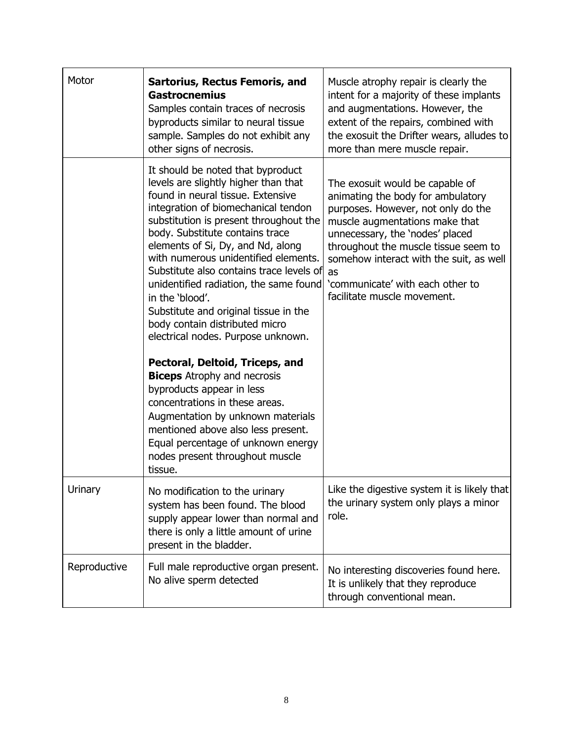| Motor        | <b>Sartorius, Rectus Femoris, and</b><br><b>Gastrocnemius</b><br>Samples contain traces of necrosis<br>byproducts similar to neural tissue<br>sample. Samples do not exhibit any<br>other signs of necrosis.                                                                                                                                                                                                                                                                                                                                                                                                                                                                                                                                                                                                                                     | Muscle atrophy repair is clearly the<br>intent for a majority of these implants<br>and augmentations. However, the<br>extent of the repairs, combined with<br>the exosuit the Drifter wears, alludes to<br>more than mere muscle repair.                                                                                                    |
|--------------|--------------------------------------------------------------------------------------------------------------------------------------------------------------------------------------------------------------------------------------------------------------------------------------------------------------------------------------------------------------------------------------------------------------------------------------------------------------------------------------------------------------------------------------------------------------------------------------------------------------------------------------------------------------------------------------------------------------------------------------------------------------------------------------------------------------------------------------------------|---------------------------------------------------------------------------------------------------------------------------------------------------------------------------------------------------------------------------------------------------------------------------------------------------------------------------------------------|
|              | It should be noted that byproduct<br>levels are slightly higher than that<br>found in neural tissue. Extensive<br>integration of biomechanical tendon<br>substitution is present throughout the<br>body. Substitute contains trace<br>elements of Si, Dy, and Nd, along<br>with numerous unidentified elements.<br>Substitute also contains trace levels of<br>unidentified radiation, the same found<br>in the 'blood'.<br>Substitute and original tissue in the<br>body contain distributed micro<br>electrical nodes. Purpose unknown.<br>Pectoral, Deltoid, Triceps, and<br><b>Biceps</b> Atrophy and necrosis<br>byproducts appear in less<br>concentrations in these areas.<br>Augmentation by unknown materials<br>mentioned above also less present.<br>Equal percentage of unknown energy<br>nodes present throughout muscle<br>tissue. | The exosuit would be capable of<br>animating the body for ambulatory<br>purposes. However, not only do the<br>muscle augmentations make that<br>unnecessary, the 'nodes' placed<br>throughout the muscle tissue seem to<br>somehow interact with the suit, as well<br>as<br>'communicate' with each other to<br>facilitate muscle movement. |
| Urinary      | No modification to the urinary<br>system has been found. The blood<br>supply appear lower than normal and<br>there is only a little amount of urine<br>present in the bladder.                                                                                                                                                                                                                                                                                                                                                                                                                                                                                                                                                                                                                                                                   | Like the digestive system it is likely that<br>the urinary system only plays a minor<br>role.                                                                                                                                                                                                                                               |
| Reproductive | Full male reproductive organ present.<br>No alive sperm detected                                                                                                                                                                                                                                                                                                                                                                                                                                                                                                                                                                                                                                                                                                                                                                                 | No interesting discoveries found here.<br>It is unlikely that they reproduce<br>through conventional mean.                                                                                                                                                                                                                                  |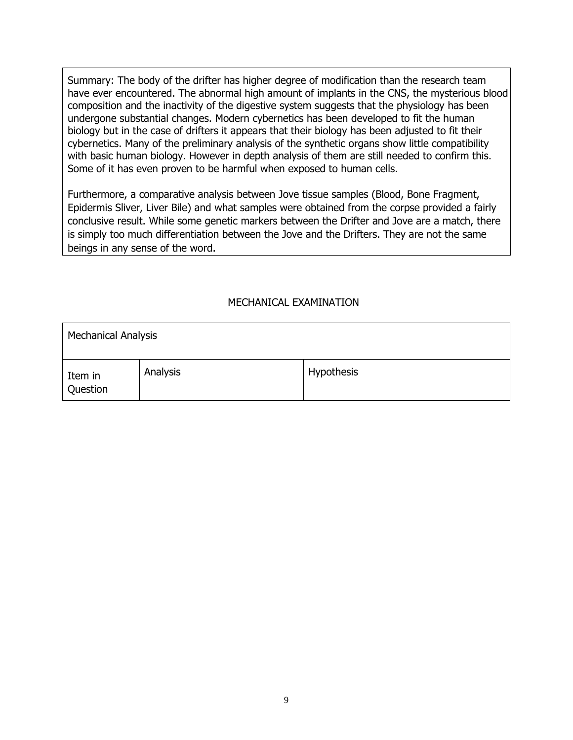Summary: The body of the drifter has higher degree of modification than the research team have ever encountered. The abnormal high amount of implants in the CNS, the mysterious blood composition and the inactivity of the digestive system suggests that the physiology has been undergone substantial changes. Modern cybernetics has been developed to fit the human biology but in the case of drifters it appears that their biology has been adjusted to fit their cybernetics. Many of the preliminary analysis of the synthetic organs show little compatibility with basic human biology. However in depth analysis of them are still needed to confirm this. Some of it has even proven to be harmful when exposed to human cells.

Furthermore, a comparative analysis between Jove tissue samples (Blood, Bone Fragment, Epidermis Sliver, Liver Bile) and what samples were obtained from the corpse provided a fairly conclusive result. While some genetic markers between the Drifter and Jove are a match, there is simply too much differentiation between the Jove and the Drifters. They are not the same beings in any sense of the word.

# MECHANICAL EXAMINATION

| <b>Mechanical Analysis</b> |          |            |
|----------------------------|----------|------------|
| Item in<br>Question        | Analysis | Hypothesis |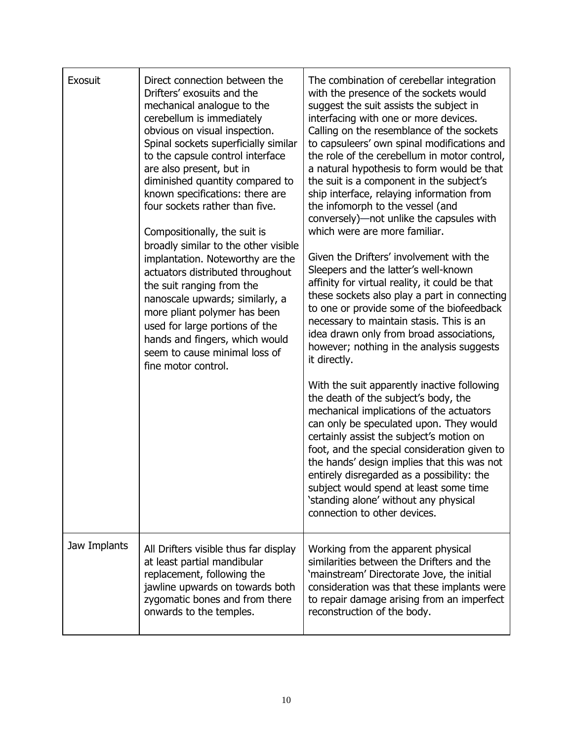| Exosuit      | Direct connection between the<br>Drifters' exosuits and the<br>mechanical analogue to the<br>cerebellum is immediately<br>obvious on visual inspection.<br>Spinal sockets superficially similar<br>to the capsule control interface<br>are also present, but in<br>diminished quantity compared to<br>known specifications: there are<br>four sockets rather than five.<br>Compositionally, the suit is<br>broadly similar to the other visible<br>implantation. Noteworthy are the<br>actuators distributed throughout<br>the suit ranging from the<br>nanoscale upwards; similarly, a<br>more pliant polymer has been<br>used for large portions of the<br>hands and fingers, which would<br>seem to cause minimal loss of<br>fine motor control. | The combination of cerebellar integration<br>with the presence of the sockets would<br>suggest the suit assists the subject in<br>interfacing with one or more devices.<br>Calling on the resemblance of the sockets<br>to capsuleers' own spinal modifications and<br>the role of the cerebellum in motor control,<br>a natural hypothesis to form would be that<br>the suit is a component in the subject's<br>ship interface, relaying information from<br>the infomorph to the vessel (and<br>conversely)—not unlike the capsules with<br>which were are more familiar.<br>Given the Drifters' involvement with the<br>Sleepers and the latter's well-known<br>affinity for virtual reality, it could be that<br>these sockets also play a part in connecting<br>to one or provide some of the biofeedback<br>necessary to maintain stasis. This is an<br>idea drawn only from broad associations,<br>however; nothing in the analysis suggests<br>it directly.<br>With the suit apparently inactive following<br>the death of the subject's body, the<br>mechanical implications of the actuators<br>can only be speculated upon. They would<br>certainly assist the subject's motion on<br>foot, and the special consideration given to<br>the hands' design implies that this was not<br>entirely disregarded as a possibility: the<br>subject would spend at least some time<br>'standing alone' without any physical<br>connection to other devices. |
|--------------|-----------------------------------------------------------------------------------------------------------------------------------------------------------------------------------------------------------------------------------------------------------------------------------------------------------------------------------------------------------------------------------------------------------------------------------------------------------------------------------------------------------------------------------------------------------------------------------------------------------------------------------------------------------------------------------------------------------------------------------------------------|---------------------------------------------------------------------------------------------------------------------------------------------------------------------------------------------------------------------------------------------------------------------------------------------------------------------------------------------------------------------------------------------------------------------------------------------------------------------------------------------------------------------------------------------------------------------------------------------------------------------------------------------------------------------------------------------------------------------------------------------------------------------------------------------------------------------------------------------------------------------------------------------------------------------------------------------------------------------------------------------------------------------------------------------------------------------------------------------------------------------------------------------------------------------------------------------------------------------------------------------------------------------------------------------------------------------------------------------------------------------------------------------------------------------------------------------------------------|
| Jaw Implants | All Drifters visible thus far display<br>at least partial mandibular<br>replacement, following the<br>jawline upwards on towards both<br>zygomatic bones and from there<br>onwards to the temples.                                                                                                                                                                                                                                                                                                                                                                                                                                                                                                                                                  | Working from the apparent physical<br>similarities between the Drifters and the<br>'mainstream' Directorate Jove, the initial<br>consideration was that these implants were<br>to repair damage arising from an imperfect<br>reconstruction of the body.                                                                                                                                                                                                                                                                                                                                                                                                                                                                                                                                                                                                                                                                                                                                                                                                                                                                                                                                                                                                                                                                                                                                                                                                      |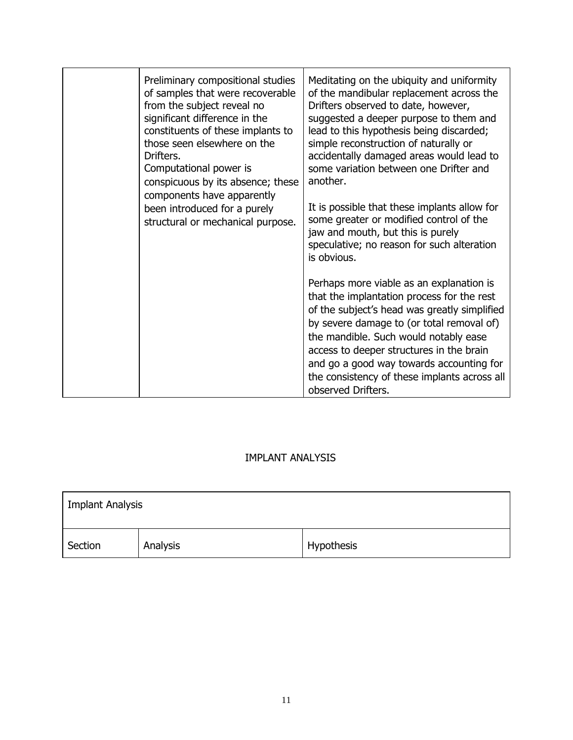| Preliminary compositional studies<br>of samples that were recoverable<br>from the subject reveal no<br>significant difference in the<br>constituents of these implants to<br>those seen elsewhere on the<br>Drifters.<br>Computational power is<br>conspicuous by its absence; these<br>components have apparently<br>been introduced for a purely<br>structural or mechanical purpose. | Meditating on the ubiquity and uniformity<br>of the mandibular replacement across the<br>Drifters observed to date, however,<br>suggested a deeper purpose to them and<br>lead to this hypothesis being discarded;<br>simple reconstruction of naturally or<br>accidentally damaged areas would lead to<br>some variation between one Drifter and<br>another.<br>It is possible that these implants allow for<br>some greater or modified control of the<br>jaw and mouth, but this is purely<br>speculative; no reason for such alteration<br>is obvious. |
|-----------------------------------------------------------------------------------------------------------------------------------------------------------------------------------------------------------------------------------------------------------------------------------------------------------------------------------------------------------------------------------------|------------------------------------------------------------------------------------------------------------------------------------------------------------------------------------------------------------------------------------------------------------------------------------------------------------------------------------------------------------------------------------------------------------------------------------------------------------------------------------------------------------------------------------------------------------|
|                                                                                                                                                                                                                                                                                                                                                                                         | Perhaps more viable as an explanation is<br>that the implantation process for the rest<br>of the subject's head was greatly simplified<br>by severe damage to (or total removal of)<br>the mandible. Such would notably ease<br>access to deeper structures in the brain<br>and go a good way towards accounting for<br>the consistency of these implants across all<br>observed Drifters.                                                                                                                                                                 |

# IMPLANT ANALYSIS

| <b>Implant Analysis</b> |          |            |
|-------------------------|----------|------------|
| Section                 | Analysis | Hypothesis |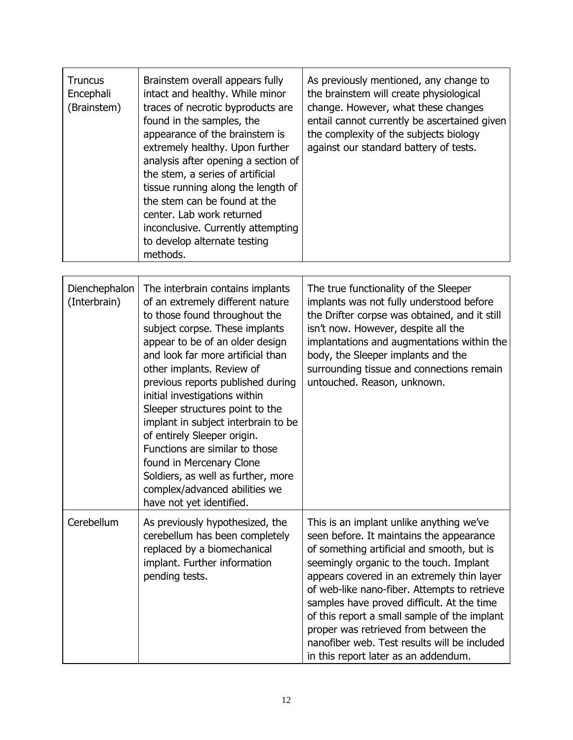| <b>Truncus</b><br>Encephali<br>(Brainstem) | Brainstem overall appears fully<br>intact and healthy. While minor<br>traces of necrotic byproducts are<br>found in the samples, the<br>appearance of the brainstem is<br>extremely healthy. Upon further<br>analysis after opening a section of<br>the stem, a series of artificial<br>tissue running along the length of<br>the stem can be found at the<br>center. Lab work returned<br>inconclusive. Currently attempting<br>to develop alternate testing<br>methods.                                                                                                                    | As previously mentioned, any change to<br>the brainstem will create physiological<br>change. However, what these changes<br>entail cannot currently be ascertained given<br>the complexity of the subjects biology<br>against our standard battery of tests.                                                                                                                                                                                                                                               |
|--------------------------------------------|----------------------------------------------------------------------------------------------------------------------------------------------------------------------------------------------------------------------------------------------------------------------------------------------------------------------------------------------------------------------------------------------------------------------------------------------------------------------------------------------------------------------------------------------------------------------------------------------|------------------------------------------------------------------------------------------------------------------------------------------------------------------------------------------------------------------------------------------------------------------------------------------------------------------------------------------------------------------------------------------------------------------------------------------------------------------------------------------------------------|
| Dienchephalon<br>(Interbrain)              | The interbrain contains implants<br>of an extremely different nature<br>to those found throughout the<br>subject corpse. These implants<br>appear to be of an older design<br>and look far more artificial than<br>other implants. Review of<br>previous reports published during<br>initial investigations within<br>Sleeper structures point to the<br>implant in subject interbrain to be<br>of entirely Sleeper origin.<br>Functions are similar to those<br>found in Mercenary Clone<br>Soldiers, as well as further, more<br>complex/advanced abilities we<br>have not yet identified. | The true functionality of the Sleeper<br>implants was not fully understood before<br>the Drifter corpse was obtained, and it still<br>isn't now. However, despite all the<br>implantations and augmentations within the<br>body, the Sleeper implants and the<br>surrounding tissue and connections remain<br>untouched. Reason, unknown.                                                                                                                                                                  |
| Cerebellum                                 | As previously hypothesized, the<br>cerebellum has been completely<br>replaced by a biomechanical<br>implant. Further information<br>pending tests.                                                                                                                                                                                                                                                                                                                                                                                                                                           | This is an implant unlike anything we've<br>seen before. It maintains the appearance<br>of something artificial and smooth, but is<br>seemingly organic to the touch. Implant<br>appears covered in an extremely thin layer<br>of web-like nano-fiber. Attempts to retrieve<br>samples have proved difficult. At the time<br>of this report a small sample of the implant<br>proper was retrieved from between the<br>nanofiber web. Test results will be included<br>in this report later as an addendum. |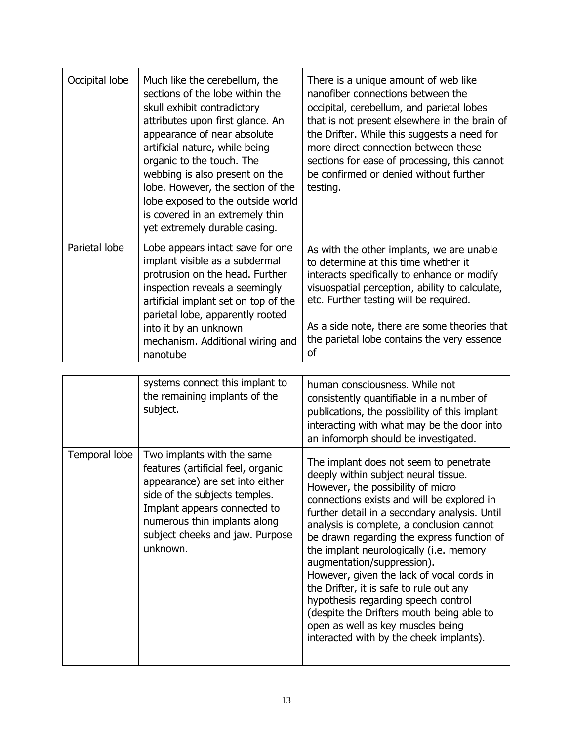| Occipital lobe | Much like the cerebellum, the<br>sections of the lobe within the<br>skull exhibit contradictory<br>attributes upon first glance. An<br>appearance of near absolute<br>artificial nature, while being<br>organic to the touch. The<br>webbing is also present on the<br>lobe. However, the section of the<br>lobe exposed to the outside world<br>is covered in an extremely thin<br>yet extremely durable casing. | There is a unique amount of web like<br>nanofiber connections between the<br>occipital, cerebellum, and parietal lobes<br>that is not present elsewhere in the brain of<br>the Drifter. While this suggests a need for<br>more direct connection between these<br>sections for ease of processing, this cannot<br>be confirmed or denied without further<br>testing.                                                                                                                                                                                                                                                                               |
|----------------|-------------------------------------------------------------------------------------------------------------------------------------------------------------------------------------------------------------------------------------------------------------------------------------------------------------------------------------------------------------------------------------------------------------------|----------------------------------------------------------------------------------------------------------------------------------------------------------------------------------------------------------------------------------------------------------------------------------------------------------------------------------------------------------------------------------------------------------------------------------------------------------------------------------------------------------------------------------------------------------------------------------------------------------------------------------------------------|
| Parietal lobe  | Lobe appears intact save for one<br>implant visible as a subdermal<br>protrusion on the head. Further<br>inspection reveals a seemingly<br>artificial implant set on top of the<br>parietal lobe, apparently rooted<br>into it by an unknown<br>mechanism. Additional wiring and<br>nanotube                                                                                                                      | As with the other implants, we are unable<br>to determine at this time whether it<br>interacts specifically to enhance or modify<br>visuospatial perception, ability to calculate,<br>etc. Further testing will be required.<br>As a side note, there are some theories that<br>the parietal lobe contains the very essence<br>οf                                                                                                                                                                                                                                                                                                                  |
|                |                                                                                                                                                                                                                                                                                                                                                                                                                   |                                                                                                                                                                                                                                                                                                                                                                                                                                                                                                                                                                                                                                                    |
|                | systems connect this implant to<br>the remaining implants of the<br>subject.                                                                                                                                                                                                                                                                                                                                      | human consciousness. While not<br>consistently quantifiable in a number of<br>publications, the possibility of this implant<br>interacting with what may be the door into<br>an infomorph should be investigated.                                                                                                                                                                                                                                                                                                                                                                                                                                  |
| Temporal lobe  | Two implants with the same<br>features (artificial feel, organic<br>appearance) are set into either<br>side of the subjects temples.<br>Implant appears connected to<br>numerous thin implants along<br>subject cheeks and jaw. Purpose<br>unknown.                                                                                                                                                               | The implant does not seem to penetrate<br>deeply within subject neural tissue.<br>However, the possibility of micro<br>connections exists and will be explored in<br>further detail in a secondary analysis. Until<br>analysis is complete, a conclusion cannot<br>be drawn regarding the express function of<br>the implant neurologically (i.e. memory<br>augmentation/suppression).<br>However, given the lack of vocal cords in<br>the Drifter, it is safe to rule out any<br>hypothesis regarding speech control<br>(despite the Drifters mouth being able to<br>open as well as key muscles being<br>interacted with by the cheek implants). |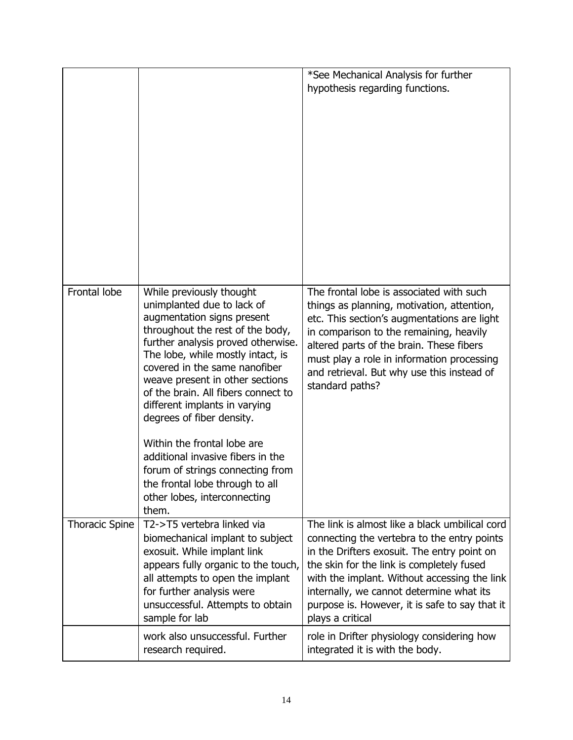|                       |                                                                                                                                                                                                                                                                                                                                                                                                                                                                                      | *See Mechanical Analysis for further<br>hypothesis regarding functions.                                                                                                                                                                                                                                                                                     |
|-----------------------|--------------------------------------------------------------------------------------------------------------------------------------------------------------------------------------------------------------------------------------------------------------------------------------------------------------------------------------------------------------------------------------------------------------------------------------------------------------------------------------|-------------------------------------------------------------------------------------------------------------------------------------------------------------------------------------------------------------------------------------------------------------------------------------------------------------------------------------------------------------|
| Frontal lobe          | While previously thought<br>unimplanted due to lack of<br>augmentation signs present<br>throughout the rest of the body,<br>further analysis proved otherwise.<br>The lobe, while mostly intact, is<br>covered in the same nanofiber<br>weave present in other sections<br>of the brain. All fibers connect to<br>different implants in varying<br>degrees of fiber density.<br>Within the frontal lobe are<br>additional invasive fibers in the<br>forum of strings connecting from | The frontal lobe is associated with such<br>things as planning, motivation, attention,<br>etc. This section's augmentations are light<br>in comparison to the remaining, heavily<br>altered parts of the brain. These fibers<br>must play a role in information processing<br>and retrieval. But why use this instead of<br>standard paths?                 |
|                       | the frontal lobe through to all<br>other lobes, interconnecting<br>them.                                                                                                                                                                                                                                                                                                                                                                                                             |                                                                                                                                                                                                                                                                                                                                                             |
| <b>Thoracic Spine</b> | T2->T5 vertebra linked via<br>biomechanical implant to subject<br>exosuit. While implant link<br>appears fully organic to the touch,<br>all attempts to open the implant<br>for further analysis were<br>unsuccessful. Attempts to obtain<br>sample for lab                                                                                                                                                                                                                          | The link is almost like a black umbilical cord<br>connecting the vertebra to the entry points<br>in the Drifters exosuit. The entry point on<br>the skin for the link is completely fused<br>with the implant. Without accessing the link<br>internally, we cannot determine what its<br>purpose is. However, it is safe to say that it<br>plays a critical |
|                       | work also unsuccessful. Further<br>research required.                                                                                                                                                                                                                                                                                                                                                                                                                                | role in Drifter physiology considering how<br>integrated it is with the body.                                                                                                                                                                                                                                                                               |